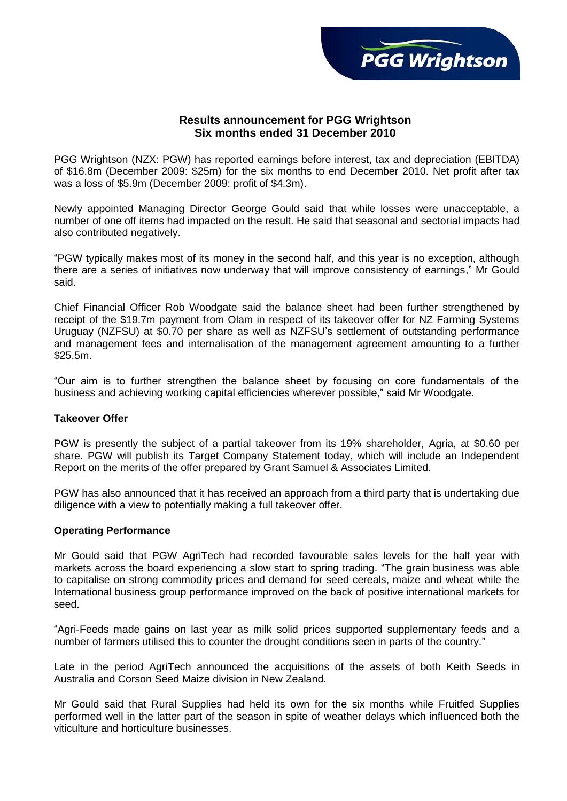

# **Results announcement for PGG Wrightson Six months ended 31 December 2010**

PGG Wrightson (NZX: PGW) has reported earnings before interest, tax and depreciation (EBITDA) of \$16.8m (December 2009: \$25m) for the six months to end December 2010. Net profit after tax was a loss of \$5.9m (December 2009: profit of \$4.3m).

Newly appointed Managing Director George Gould said that while losses were unacceptable, a number of one off items had impacted on the result. He said that seasonal and sectorial impacts had also contributed negatively.

"PGW typically makes most of its money in the second half, and this year is no exception, although there are a series of initiatives now underway that will improve consistency of earnings," Mr Gould said.

Chief Financial Officer Rob Woodgate said the balance sheet had been further strengthened by receipt of the \$19.7m payment from Olam in respect of its takeover offer for NZ Farming Systems Uruguay (NZFSU) at \$0.70 per share as well as NZFSU's settlement of outstanding performance and management fees and internalisation of the management agreement amounting to a further \$25.5m.

"Our aim is to further strengthen the balance sheet by focusing on core fundamentals of the business and achieving working capital efficiencies wherever possible," said Mr Woodgate.

### **Takeover Offer**

PGW is presently the subject of a partial takeover from its 19% shareholder, Agria, at \$0.60 per share. PGW will publish its Target Company Statement today, which will include an Independent Report on the merits of the offer prepared by Grant Samuel & Associates Limited.

PGW has also announced that it has received an approach from a third party that is undertaking due diligence with a view to potentially making a full takeover offer.

### **Operating Performance**

Mr Gould said that PGW AgriTech had recorded favourable sales levels for the half year with markets across the board experiencing a slow start to spring trading. "The grain business was able to capitalise on strong commodity prices and demand for seed cereals, maize and wheat while the International business group performance improved on the back of positive international markets for seed.

"Agri-Feeds made gains on last year as milk solid prices supported supplementary feeds and a number of farmers utilised this to counter the drought conditions seen in parts of the country."

Late in the period AgriTech announced the acquisitions of the assets of both Keith Seeds in Australia and Corson Seed Maize division in New Zealand.

Mr Gould said that Rural Supplies had held its own for the six months while Fruitfed Supplies performed well in the latter part of the season in spite of weather delays which influenced both the viticulture and horticulture businesses.